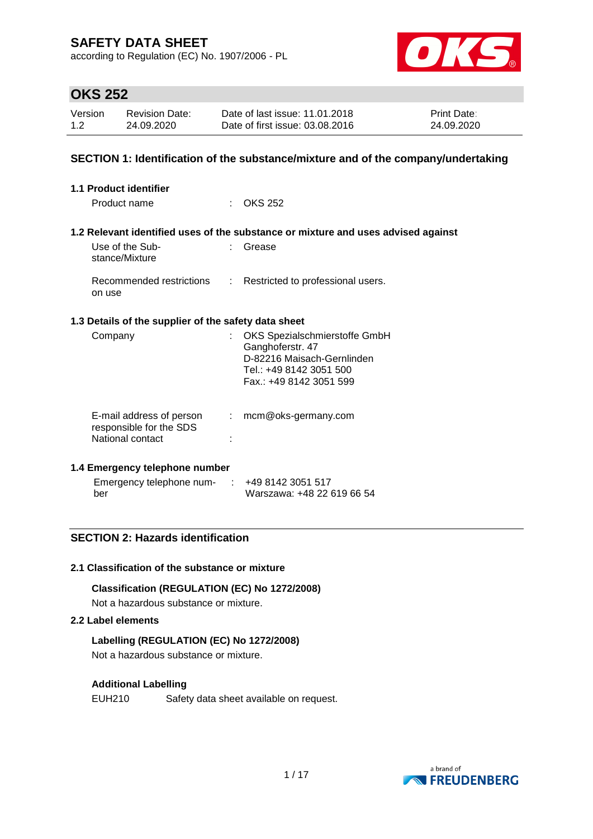according to Regulation (EC) No. 1907/2006 - PL



## **OKS 252**

| Version | <b>Revision Date:</b> | Date of last issue: 11.01.2018  | <b>Print Date:</b> |
|---------|-----------------------|---------------------------------|--------------------|
| 1.2     | 24.09.2020            | Date of first issue: 03.08.2016 | 24.09.2020         |

### **SECTION 1: Identification of the substance/mixture and of the company/undertaking**

| <b>1.1 Product identifier</b>                                           |    |                                                                                                                                       |
|-------------------------------------------------------------------------|----|---------------------------------------------------------------------------------------------------------------------------------------|
| Product name                                                            |    | $\therefore$ OKS 252                                                                                                                  |
|                                                                         |    | 1.2 Relevant identified uses of the substance or mixture and uses advised against                                                     |
| Use of the Sub-<br>stance/Mixture                                       |    | Grease                                                                                                                                |
| Recommended restrictions<br>on use                                      |    | : Restricted to professional users.                                                                                                   |
| 1.3 Details of the supplier of the safety data sheet                    |    |                                                                                                                                       |
| Company                                                                 |    | OKS Spezialschmierstoffe GmbH<br>Ganghoferstr. 47<br>D-82216 Maisach-Gernlinden<br>Tel.: +49 8142 3051 500<br>Fax.: +49 8142 3051 599 |
| E-mail address of person<br>responsible for the SDS<br>National contact | t. | mcm@oks-germany.com                                                                                                                   |

### **1.4 Emergency telephone number**

| Emergency telephone num- | : 4981423051517            |
|--------------------------|----------------------------|
| ber                      | Warszawa: +48 22 619 66 54 |

### **SECTION 2: Hazards identification**

#### **2.1 Classification of the substance or mixture**

### **Classification (REGULATION (EC) No 1272/2008)**

Not a hazardous substance or mixture.

### **2.2 Label elements**

### **Labelling (REGULATION (EC) No 1272/2008)**

Not a hazardous substance or mixture.

### **Additional Labelling**

EUH210 Safety data sheet available on request.

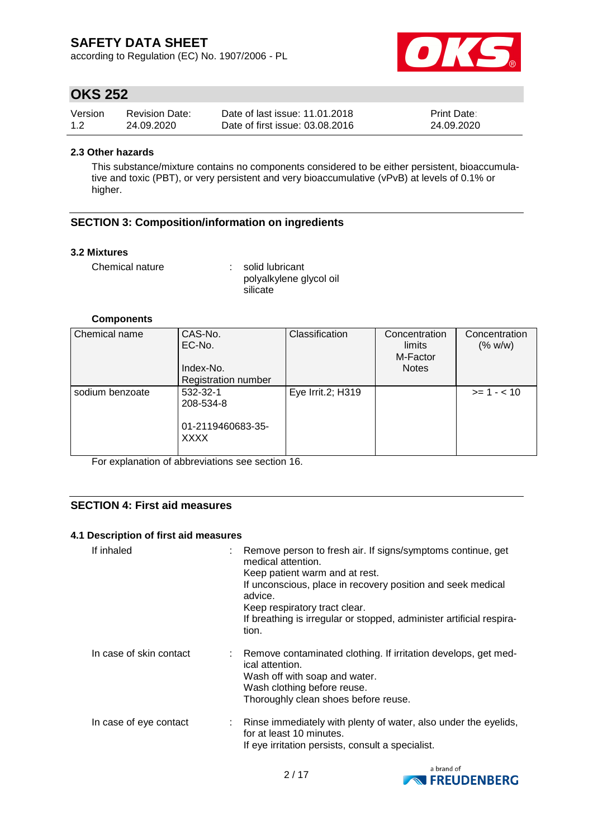according to Regulation (EC) No. 1907/2006 - PL



## **OKS 252**

| Version | <b>Revision Date:</b> | Date of last issue: 11.01.2018  | <b>Print Date:</b> |
|---------|-----------------------|---------------------------------|--------------------|
| 1.2     | 24.09.2020            | Date of first issue: 03.08.2016 | 24.09.2020         |

#### **2.3 Other hazards**

This substance/mixture contains no components considered to be either persistent, bioaccumulative and toxic (PBT), or very persistent and very bioaccumulative (vPvB) at levels of 0.1% or higher.

### **SECTION 3: Composition/information on ingredients**

#### **3.2 Mixtures**

Chemical nature : solid lubricant polyalkylene glycol oil silicate

#### **Components**

| Chemical name   | CAS-No.<br>EC-No.<br>Index-No.<br><b>Registration number</b> | Classification    | Concentration<br>limits<br>M-Factor<br><b>Notes</b> | Concentration<br>(% w/w) |
|-----------------|--------------------------------------------------------------|-------------------|-----------------------------------------------------|--------------------------|
| sodium benzoate | 532-32-1<br>208-534-8<br>01-2119460683-35-<br><b>XXXX</b>    | Eye Irrit.2; H319 |                                                     | $>= 1 - < 10$            |

For explanation of abbreviations see section 16.

### **SECTION 4: First aid measures**

### **4.1 Description of first aid measures**

| If inhaled              | : Remove person to fresh air. If signs/symptoms continue, get<br>medical attention.<br>Keep patient warm and at rest.<br>If unconscious, place in recovery position and seek medical<br>advice.<br>Keep respiratory tract clear.<br>If breathing is irregular or stopped, administer artificial respira-<br>tion. |
|-------------------------|-------------------------------------------------------------------------------------------------------------------------------------------------------------------------------------------------------------------------------------------------------------------------------------------------------------------|
| In case of skin contact | : Remove contaminated clothing. If irritation develops, get med-<br>ical attention.<br>Wash off with soap and water.<br>Wash clothing before reuse.<br>Thoroughly clean shoes before reuse.                                                                                                                       |
| In case of eye contact  | : Rinse immediately with plenty of water, also under the eyelids,<br>for at least 10 minutes.<br>If eye irritation persists, consult a specialist.                                                                                                                                                                |

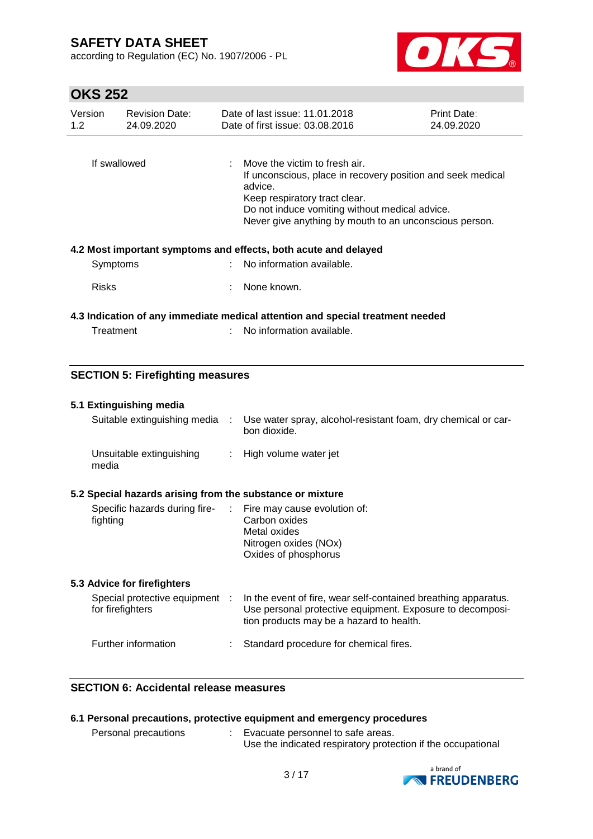according to Regulation (EC) No. 1907/2006 - PL



# **OKS 252**

| Version<br>1.2 | <b>Revision Date:</b><br>24.09.2020 | Date of last issue: 11.01.2018<br>Date of first issue: 03.08.2016                                                                                                                                                                                                 |                                                                                                                          | <b>Print Date:</b><br>24.09.2020 |  |  |
|----------------|-------------------------------------|-------------------------------------------------------------------------------------------------------------------------------------------------------------------------------------------------------------------------------------------------------------------|--------------------------------------------------------------------------------------------------------------------------|----------------------------------|--|--|
| If swallowed   |                                     | $\therefore$ Move the victim to fresh air.<br>If unconscious, place in recovery position and seek medical<br>advice.<br>Keep respiratory tract clear.<br>Do not induce vomiting without medical advice.<br>Never give anything by mouth to an unconscious person. |                                                                                                                          |                                  |  |  |
|                |                                     |                                                                                                                                                                                                                                                                   | 4.2 Most important symptoms and effects, both acute and delayed                                                          |                                  |  |  |
| Symptoms       |                                     |                                                                                                                                                                                                                                                                   | : No information available.                                                                                              |                                  |  |  |
| <b>Risks</b>   |                                     |                                                                                                                                                                                                                                                                   | None known.                                                                                                              |                                  |  |  |
| Treatment      |                                     |                                                                                                                                                                                                                                                                   | 4.3 Indication of any immediate medical attention and special treatment needed<br>$\therefore$ No information available. |                                  |  |  |

### **SECTION 5: Firefighting measures**

#### **5.1 Extinguishing media**

| Suitable extinguishing media      | Use water spray, alcohol-resistant foam, dry chemical or car-<br>bon dioxide. |
|-----------------------------------|-------------------------------------------------------------------------------|
| Unsuitable extinguishing<br>media | : High volume water jet                                                       |

### **5.2 Special hazards arising from the substance or mixture**

| Specific hazards during fire-<br>fighting | : Fire may cause evolution of:<br>Carbon oxides |
|-------------------------------------------|-------------------------------------------------|
|                                           | Metal oxides                                    |
|                                           | Nitrogen oxides (NOx)                           |
|                                           | Oxides of phosphorus                            |

### **5.3 Advice for firefighters**

| Special protective equipment<br>for firefighters | In the event of fire, wear self-contained breathing apparatus.<br>Use personal protective equipment. Exposure to decomposi-<br>tion products may be a hazard to health. |
|--------------------------------------------------|-------------------------------------------------------------------------------------------------------------------------------------------------------------------------|
| Further information                              | : Standard procedure for chemical fires.                                                                                                                                |

### **SECTION 6: Accidental release measures**

| 6.1 Personal precautions, protective equipment and emergency procedures |  |                                                                                                   |  |  |  |
|-------------------------------------------------------------------------|--|---------------------------------------------------------------------------------------------------|--|--|--|
| Personal precautions                                                    |  | Evacuate personnel to safe areas.<br>Use the indicated respiratory protection if the occupational |  |  |  |

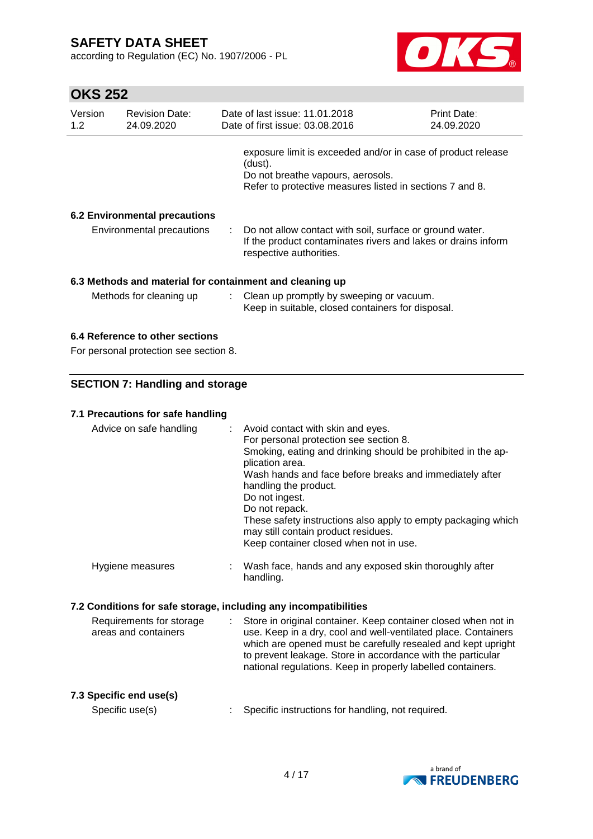according to Regulation (EC) No. 1907/2006 - PL



| Version<br>1.2 | <b>Revision Date:</b><br>24.09.2020                                      | Date of last issue: 11.01.2018<br>Date of first issue: 03.08.2016                                                                                                                                                                                                                                                                                                                                                                        | Print Date:<br>24.09.2020 |
|----------------|--------------------------------------------------------------------------|------------------------------------------------------------------------------------------------------------------------------------------------------------------------------------------------------------------------------------------------------------------------------------------------------------------------------------------------------------------------------------------------------------------------------------------|---------------------------|
|                |                                                                          | exposure limit is exceeded and/or in case of product release<br>(dust).<br>Do not breathe vapours, aerosols.<br>Refer to protective measures listed in sections 7 and 8.                                                                                                                                                                                                                                                                 |                           |
|                |                                                                          |                                                                                                                                                                                                                                                                                                                                                                                                                                          |                           |
|                | <b>6.2 Environmental precautions</b><br><b>Environmental precautions</b> | Do not allow contact with soil, surface or ground water.<br>If the product contaminates rivers and lakes or drains inform<br>respective authorities.                                                                                                                                                                                                                                                                                     |                           |
|                |                                                                          | 6.3 Methods and material for containment and cleaning up                                                                                                                                                                                                                                                                                                                                                                                 |                           |
|                | Methods for cleaning up                                                  | Clean up promptly by sweeping or vacuum.<br>Keep in suitable, closed containers for disposal.                                                                                                                                                                                                                                                                                                                                            |                           |
|                | 6.4 Reference to other sections                                          |                                                                                                                                                                                                                                                                                                                                                                                                                                          |                           |
|                | For personal protection see section 8.                                   |                                                                                                                                                                                                                                                                                                                                                                                                                                          |                           |
|                | <b>SECTION 7: Handling and storage</b>                                   |                                                                                                                                                                                                                                                                                                                                                                                                                                          |                           |
|                |                                                                          |                                                                                                                                                                                                                                                                                                                                                                                                                                          |                           |
|                | 7.1 Precautions for safe handling                                        |                                                                                                                                                                                                                                                                                                                                                                                                                                          |                           |
|                | Advice on safe handling                                                  | Avoid contact with skin and eyes.<br>For personal protection see section 8.<br>Smoking, eating and drinking should be prohibited in the ap-<br>plication area.<br>Wash hands and face before breaks and immediately after<br>handling the product.<br>Do not ingest.<br>Do not repack.<br>These safety instructions also apply to empty packaging which<br>may still contain product residues.<br>Keep container closed when not in use. |                           |
|                | Hygiene measures                                                         | Wash face, hands and any exposed skin thoroughly after<br>handling.                                                                                                                                                                                                                                                                                                                                                                      |                           |
|                |                                                                          | 7.2 Conditions for safe storage, including any incompatibilities                                                                                                                                                                                                                                                                                                                                                                         |                           |
|                | Requirements for storage                                                 | Store in original container. Keep container closed when not in                                                                                                                                                                                                                                                                                                                                                                           |                           |
|                | areas and containers                                                     | use. Keep in a dry, cool and well-ventilated place. Containers<br>which are opened must be carefully resealed and kept upright<br>to prevent leakage. Store in accordance with the particular<br>national regulations. Keep in properly labelled containers.                                                                                                                                                                             |                           |
|                | 7.3 Specific end use(s)                                                  |                                                                                                                                                                                                                                                                                                                                                                                                                                          |                           |
|                | Specific use(s)                                                          | Specific instructions for handling, not required.                                                                                                                                                                                                                                                                                                                                                                                        |                           |

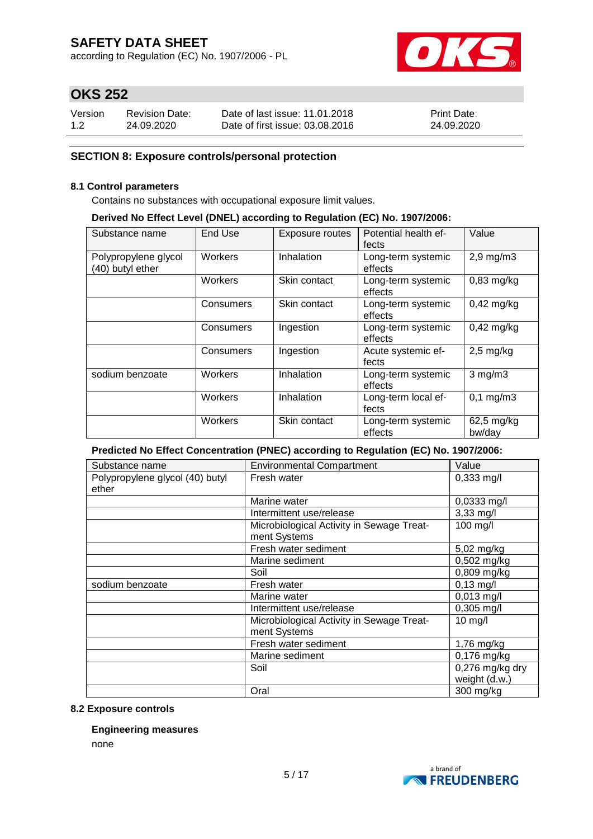according to Regulation (EC) No. 1907/2006 - PL



## **OKS 252**

| Version | <b>Revision Date:</b> | Date of last issue: 11.01.2018  | <b>Print Date:</b> |
|---------|-----------------------|---------------------------------|--------------------|
| 1.2     | 24.09.2020            | Date of first issue: 03.08.2016 | 24.09.2020         |

### **SECTION 8: Exposure controls/personal protection**

#### **8.1 Control parameters**

Contains no substances with occupational exposure limit values.

#### **Derived No Effect Level (DNEL) according to Regulation (EC) No. 1907/2006:**

| Substance name                           | End Use   | Exposure routes | Potential health ef-<br>fects | Value                 |
|------------------------------------------|-----------|-----------------|-------------------------------|-----------------------|
| Polypropylene glycol<br>(40) butyl ether | Workers   | Inhalation      | Long-term systemic<br>effects | $2,9$ mg/m $3$        |
|                                          | Workers   | Skin contact    | Long-term systemic<br>effects | $0,83$ mg/kg          |
|                                          | Consumers | Skin contact    | Long-term systemic<br>effects | $0,42$ mg/kg          |
|                                          | Consumers | Ingestion       | Long-term systemic<br>effects | $0,42$ mg/kg          |
|                                          | Consumers | Ingestion       | Acute systemic ef-<br>fects   | $2,5$ mg/kg           |
| sodium benzoate                          | Workers   | Inhalation      | Long-term systemic<br>effects | $3$ mg/m $3$          |
|                                          | Workers   | Inhalation      | Long-term local ef-<br>fects  | $0,1 \, \text{mg/m3}$ |
|                                          | Workers   | Skin contact    | Long-term systemic<br>effects | 62,5 mg/kg<br>bw/day  |

### **Predicted No Effect Concentration (PNEC) according to Regulation (EC) No. 1907/2006:**

| Substance name                  | <b>Environmental Compartment</b>          | Value                    |
|---------------------------------|-------------------------------------------|--------------------------|
| Polypropylene glycol (40) butyl | Fresh water                               | 0,333 mg/l               |
| ether                           |                                           |                          |
|                                 | Marine water                              | 0,0333 mg/l              |
|                                 | Intermittent use/release                  | 3,33 mg/l                |
|                                 | Microbiological Activity in Sewage Treat- | 100 mg/l                 |
|                                 | ment Systems                              |                          |
|                                 | Fresh water sediment                      | 5,02 mg/kg               |
|                                 | Marine sediment                           | $0,502$ mg/kg            |
|                                 | Soil                                      | $0,809$ mg/kg            |
| sodium benzoate                 | Fresh water                               | $0,13$ mg/l              |
|                                 | Marine water                              | 0,013 mg/l               |
|                                 | Intermittent use/release                  | $0,305$ mg/l             |
|                                 | Microbiological Activity in Sewage Treat- | 10 mg/l                  |
|                                 | ment Systems                              |                          |
|                                 | Fresh water sediment                      | 1,76 mg/kg               |
|                                 | Marine sediment                           | $\overline{0,}176$ mg/kg |
|                                 | Soil                                      | $0,276$ mg/kg dry        |
|                                 |                                           | weight (d.w.)            |
|                                 | Oral                                      | 300 mg/kg                |

### **8.2 Exposure controls**

#### **Engineering measures**

none

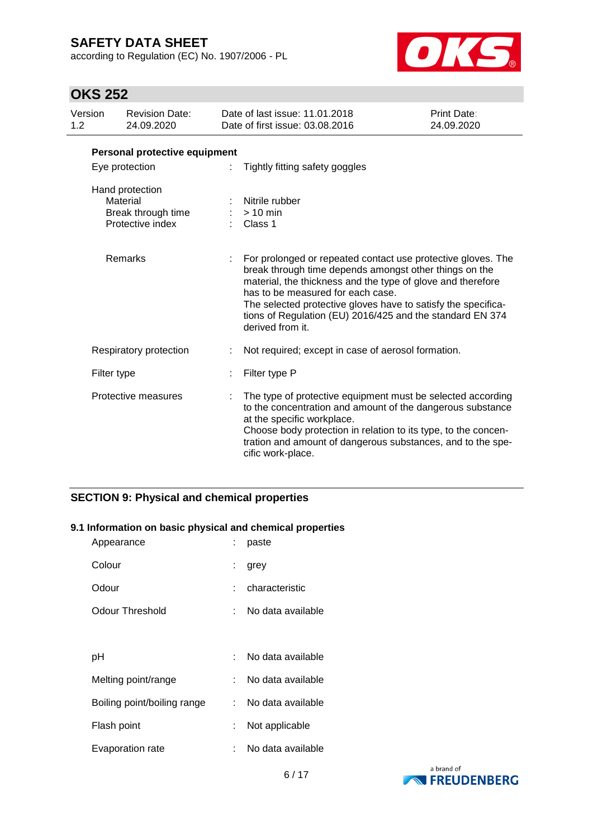according to Regulation (EC) No. 1907/2006 - PL



# **OKS 252**

| Version<br>1.2 |                               | <b>Revision Date:</b><br>24.09.2020                                   |  | Date of last issue: 11.01.2018<br>Date of first issue: 03.08.2016                                                                                                                                                                                                                                                                                                            | Print Date:<br>24.09.2020 |  |  |  |
|----------------|-------------------------------|-----------------------------------------------------------------------|--|------------------------------------------------------------------------------------------------------------------------------------------------------------------------------------------------------------------------------------------------------------------------------------------------------------------------------------------------------------------------------|---------------------------|--|--|--|
|                | Personal protective equipment |                                                                       |  |                                                                                                                                                                                                                                                                                                                                                                              |                           |  |  |  |
|                |                               | Eye protection                                                        |  | Tightly fitting safety goggles                                                                                                                                                                                                                                                                                                                                               |                           |  |  |  |
|                |                               | Hand protection<br>Material<br>Break through time<br>Protective index |  | Nitrile rubber<br>$>10$ min<br>Class 1                                                                                                                                                                                                                                                                                                                                       |                           |  |  |  |
|                |                               | Remarks                                                               |  | For prolonged or repeated contact use protective gloves. The<br>break through time depends amongst other things on the<br>material, the thickness and the type of glove and therefore<br>has to be measured for each case.<br>The selected protective gloves have to satisfy the specifica-<br>tions of Regulation (EU) 2016/425 and the standard EN 374<br>derived from it. |                           |  |  |  |
|                |                               | Respiratory protection                                                |  | Not required; except in case of aerosol formation.                                                                                                                                                                                                                                                                                                                           |                           |  |  |  |
|                | Filter type                   |                                                                       |  | Filter type P                                                                                                                                                                                                                                                                                                                                                                |                           |  |  |  |
|                |                               | Protective measures                                                   |  | The type of protective equipment must be selected according<br>to the concentration and amount of the dangerous substance<br>at the specific workplace.<br>Choose body protection in relation to its type, to the concen-<br>tration and amount of dangerous substances, and to the spe-<br>cific work-place.                                                                |                           |  |  |  |

## **SECTION 9: Physical and chemical properties**

### **9.1 Information on basic physical and chemical properties**

| Appearance                  |    | paste             |
|-----------------------------|----|-------------------|
| Colour                      | t. | grey              |
| Odour                       |    | characteristic    |
| <b>Odour Threshold</b>      |    | No data available |
|                             |    |                   |
| рH                          |    | No data available |
| Melting point/range         |    | No data available |
| Boiling point/boiling range | t. | No data available |
| Flash point                 |    | Not applicable    |
| Evaporation rate            |    | No data available |

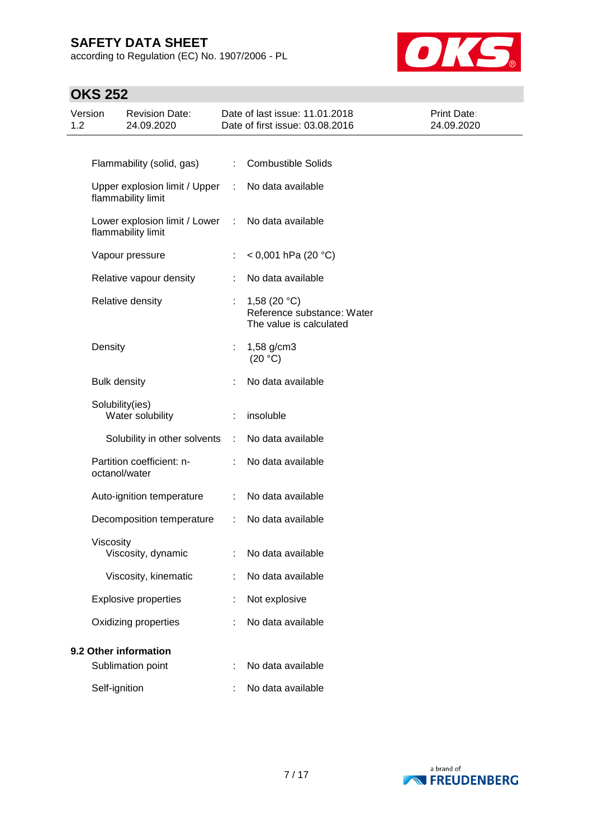according to Regulation (EC) No. 1907/2006 - PL



| Version<br>1.2 |                     | <b>Revision Date:</b><br>24.09.2020                 |                       | Date of last issue: 11.01.2018<br>Date of first issue: 03.08.2016       | Print Date:<br>24.09.2020 |
|----------------|---------------------|-----------------------------------------------------|-----------------------|-------------------------------------------------------------------------|---------------------------|
|                |                     |                                                     |                       |                                                                         |                           |
|                |                     | Flammability (solid, gas)                           | ÷                     | <b>Combustible Solids</b>                                               |                           |
|                |                     | Upper explosion limit / Upper<br>flammability limit | ÷                     | No data available                                                       |                           |
|                |                     | Lower explosion limit / Lower<br>flammability limit | ÷.                    | No data available                                                       |                           |
|                |                     | Vapour pressure                                     |                       | < 0,001 hPa (20 °C)                                                     |                           |
|                |                     | Relative vapour density                             |                       | No data available                                                       |                           |
|                |                     | Relative density                                    | ÷.                    | 1,58 $(20 °C)$<br>Reference substance: Water<br>The value is calculated |                           |
|                | Density             |                                                     | $\mathbb{Z}^{\times}$ | 1,58 g/cm3<br>(20 °C)                                                   |                           |
|                | <b>Bulk density</b> |                                                     |                       | No data available                                                       |                           |
|                | Solubility(ies)     | Water solubility                                    |                       | insoluble                                                               |                           |
|                |                     | Solubility in other solvents                        | ÷                     | No data available                                                       |                           |
|                | octanol/water       | Partition coefficient: n-                           |                       | No data available                                                       |                           |
|                |                     | Auto-ignition temperature                           | ÷                     | No data available                                                       |                           |
|                |                     | Decomposition temperature                           | ÷                     | No data available                                                       |                           |
|                | Viscosity           | Viscosity, dynamic                                  |                       | : No data available                                                     |                           |
|                |                     | Viscosity, kinematic                                |                       | No data available                                                       |                           |
|                |                     | <b>Explosive properties</b>                         |                       | Not explosive                                                           |                           |
|                |                     | Oxidizing properties                                |                       | No data available                                                       |                           |
|                |                     | 9.2 Other information                               |                       |                                                                         |                           |
|                |                     | Sublimation point                                   |                       | No data available                                                       |                           |
|                | Self-ignition       |                                                     |                       | No data available                                                       |                           |

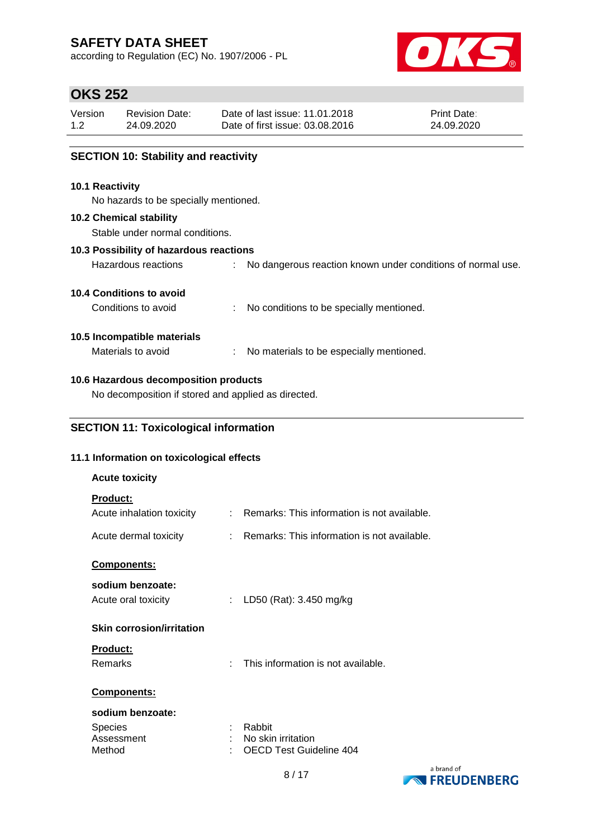according to Regulation (EC) No. 1907/2006 - PL



## **OKS 252**

| Version | <b>Revision Date:</b> | Date of last issue: 11.01.2018  | <b>Print Date:</b> |
|---------|-----------------------|---------------------------------|--------------------|
| 1.2     | 24.09.2020            | Date of first issue: 03.08.2016 | 24.09.2020         |
|         |                       |                                 |                    |

### **SECTION 10: Stability and reactivity**

#### **10.1 Reactivity**

No hazards to be specially mentioned.

#### **10.2 Chemical stability**

Stable under normal conditions.

### **10.3 Possibility of hazardous reactions**

Hazardous reactions : No dangerous reaction known under conditions of normal use.

### **10.4 Conditions to avoid**

Conditions to avoid : No conditions to be specially mentioned.

### **10.5 Incompatible materials**

Materials to avoid : No materials to be especially mentioned.

### **10.6 Hazardous decomposition products**

No decomposition if stored and applied as directed.

### **SECTION 11: Toxicological information**

### **11.1 Information on toxicological effects**

| <b>Acute toxicity</b>                        |    |                                                      |
|----------------------------------------------|----|------------------------------------------------------|
| <b>Product:</b><br>Acute inhalation toxicity | ÷  | Remarks: This information is not available.          |
| Acute dermal toxicity                        | t. | Remarks: This information is not available.          |
| Components:                                  |    |                                                      |
| sodium benzoate:                             |    |                                                      |
| Acute oral toxicity                          | ÷. | LD50 (Rat): 3.450 mg/kg                              |
| <b>Skin corrosion/irritation</b>             |    |                                                      |
| <b>Product:</b>                              |    |                                                      |
| Remarks                                      | ÷  | This information is not available.                   |
| Components:                                  |    |                                                      |
| sodium benzoate:                             |    |                                                      |
| <b>Species</b>                               |    | Rabbit                                               |
| Assessment<br>Method                         |    | No skin irritation<br><b>OECD Test Guideline 404</b> |
|                                              |    | a brand of                                           |

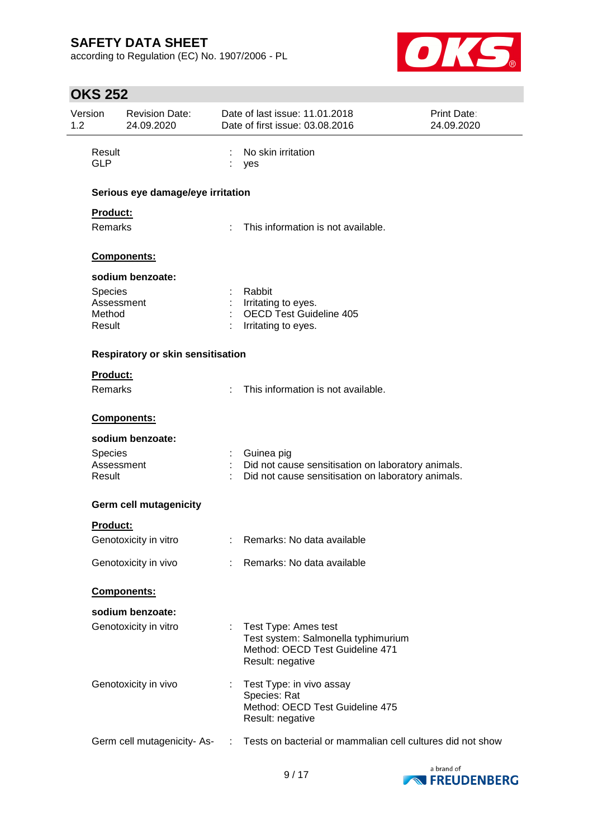according to Regulation (EC) No. 1907/2006 - PL



| Version<br>1.2 |                      | <b>Revision Date:</b><br>24.09.2020 |        | Date of last issue: 11.01.2018<br>Date of first issue: 03.08.2016 | <b>Print Date:</b><br>24.09.2020 |
|----------------|----------------------|-------------------------------------|--------|-------------------------------------------------------------------|----------------------------------|
|                | Result<br><b>GLP</b> |                                     | ÷<br>÷ | No skin irritation<br>yes                                         |                                  |
|                |                      | Serious eye damage/eye irritation   |        |                                                                   |                                  |
|                | Product:             |                                     |        |                                                                   |                                  |
|                | Remarks              |                                     |        | This information is not available.                                |                                  |
|                |                      | Components:                         |        |                                                                   |                                  |
|                |                      | sodium benzoate:                    |        |                                                                   |                                  |
|                | Species              |                                     |        | Rabbit                                                            |                                  |
|                | Assessment<br>Method |                                     |        | Irritating to eyes.<br><b>OECD Test Guideline 405</b>             |                                  |
|                | Result               |                                     |        | Irritating to eyes.                                               |                                  |
|                |                      | Respiratory or skin sensitisation   |        |                                                                   |                                  |
|                | <b>Product:</b>      |                                     |        |                                                                   |                                  |
|                | Remarks              |                                     |        | This information is not available.                                |                                  |
|                |                      | Components:                         |        |                                                                   |                                  |
|                |                      | sodium benzoate:                    |        |                                                                   |                                  |
|                | <b>Species</b>       |                                     |        | Guinea pig                                                        |                                  |
|                | Assessment           |                                     |        | Did not cause sensitisation on laboratory animals.                |                                  |
|                | Result               |                                     |        | Did not cause sensitisation on laboratory animals.                |                                  |
|                |                      | <b>Germ cell mutagenicity</b>       |        |                                                                   |                                  |
|                | <b>Product:</b>      |                                     |        |                                                                   |                                  |
|                |                      | Genotoxicity in vitro               |        | : Remarks: No data available                                      |                                  |
|                |                      | Genotoxicity in vivo                |        | : Remarks: No data available                                      |                                  |
|                |                      | Components:                         |        |                                                                   |                                  |
|                |                      | sodium benzoate:                    |        |                                                                   |                                  |
|                |                      | Genotoxicity in vitro               |        | : Test Type: Ames test                                            |                                  |
|                |                      |                                     |        | Test system: Salmonella typhimurium                               |                                  |
|                |                      |                                     |        | Method: OECD Test Guideline 471<br>Result: negative               |                                  |
|                |                      |                                     |        |                                                                   |                                  |
|                |                      | Genotoxicity in vivo                | t.     | Test Type: in vivo assay                                          |                                  |
|                |                      |                                     |        | Species: Rat<br>Method: OECD Test Guideline 475                   |                                  |
|                |                      |                                     |        | Result: negative                                                  |                                  |
|                |                      | Germ cell mutagenicity-As-          |        | Tests on bacterial or mammalian cell cultures did not show        |                                  |
|                |                      |                                     |        |                                                                   |                                  |

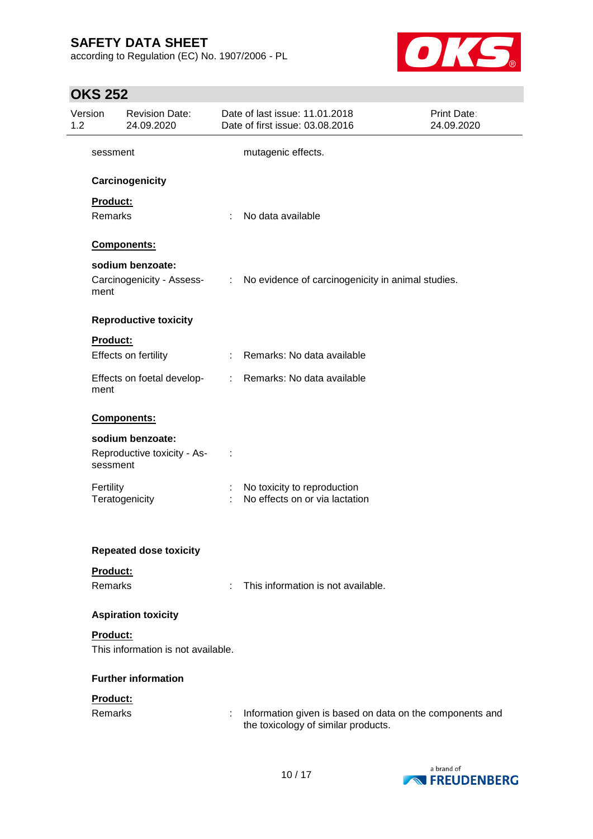according to Regulation (EC) No. 1907/2006 - PL



| 1.2 | Version                    | <b>Revision Date:</b><br>24.09.2020             |                             | Date of last issue: 11.01.2018<br>Date of first issue: 03.08.2016                               | Print Date:<br>24.09.2020 |
|-----|----------------------------|-------------------------------------------------|-----------------------------|-------------------------------------------------------------------------------------------------|---------------------------|
|     | sessment                   |                                                 |                             | mutagenic effects.                                                                              |                           |
|     |                            | Carcinogenicity                                 |                             |                                                                                                 |                           |
|     | Product:                   |                                                 |                             |                                                                                                 |                           |
|     | Remarks                    |                                                 |                             | No data available                                                                               |                           |
|     |                            | Components:                                     |                             |                                                                                                 |                           |
|     |                            | sodium benzoate:                                |                             |                                                                                                 |                           |
|     | ment                       | Carcinogenicity - Assess-                       | $\mathcal{L}^{\mathcal{L}}$ | No evidence of carcinogenicity in animal studies.                                               |                           |
|     |                            | <b>Reproductive toxicity</b>                    |                             |                                                                                                 |                           |
|     | Product:                   |                                                 |                             |                                                                                                 |                           |
|     |                            | Effects on fertility                            |                             | : Remarks: No data available                                                                    |                           |
|     | ment                       | Effects on foetal develop-                      |                             | : Remarks: No data available                                                                    |                           |
|     |                            | Components:                                     |                             |                                                                                                 |                           |
|     | sessment                   | sodium benzoate:<br>Reproductive toxicity - As- |                             |                                                                                                 |                           |
|     | Fertility                  | Teratogenicity                                  |                             | No toxicity to reproduction<br>No effects on or via lactation                                   |                           |
|     |                            | <b>Repeated dose toxicity</b>                   |                             |                                                                                                 |                           |
|     | Product:<br><b>Remarks</b> |                                                 |                             | This information is not available.                                                              |                           |
|     |                            | <b>Aspiration toxicity</b>                      |                             |                                                                                                 |                           |
|     | Product:                   | This information is not available.              |                             |                                                                                                 |                           |
|     |                            | <b>Further information</b>                      |                             |                                                                                                 |                           |
|     | Product:<br>Remarks        |                                                 | ÷                           | Information given is based on data on the components and<br>the toxicology of similar products. |                           |

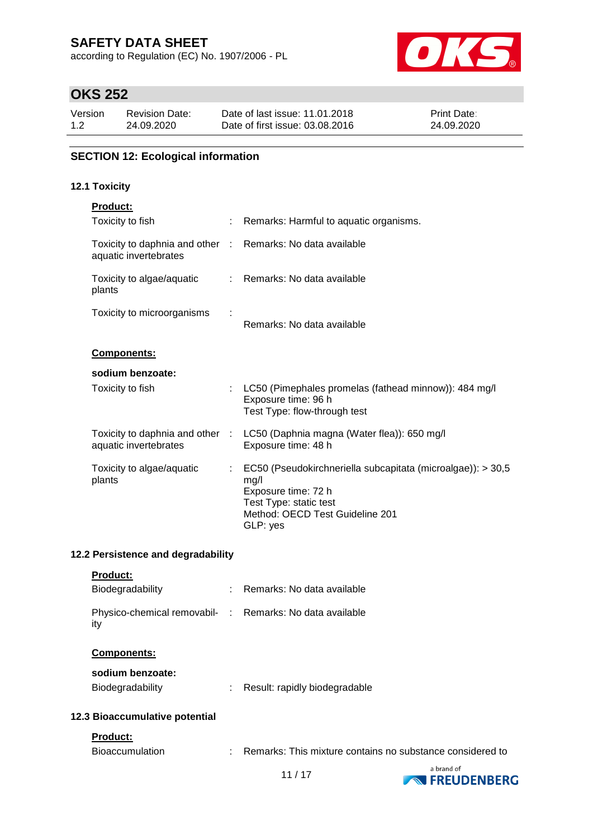according to Regulation (EC) No. 1907/2006 - PL



# **OKS 252**

| Version | <b>Revision Date:</b> | Date of last issue: 11.01.2018  | <b>Print Date:</b> |
|---------|-----------------------|---------------------------------|--------------------|
| 1.2     | 24.09.2020            | Date of first issue: 03.08.2016 | 24.09.2020         |

### **SECTION 12: Ecological information**

### **12.1 Toxicity**

| <b>Product:</b>                                                                     |    |                                                                                                                                                                     |
|-------------------------------------------------------------------------------------|----|---------------------------------------------------------------------------------------------------------------------------------------------------------------------|
| Toxicity to fish                                                                    |    | : Remarks: Harmful to aquatic organisms.                                                                                                                            |
| Toxicity to daphnia and other : Remarks: No data available<br>aquatic invertebrates |    |                                                                                                                                                                     |
| Toxicity to algae/aquatic<br>plants                                                 |    | : Remarks: No data available                                                                                                                                        |
| Toxicity to microorganisms                                                          |    | Remarks: No data available                                                                                                                                          |
| <b>Components:</b>                                                                  |    |                                                                                                                                                                     |
| sodium benzoate:                                                                    |    |                                                                                                                                                                     |
| Toxicity to fish                                                                    |    | : LC50 (Pimephales promelas (fathead minnow)): 484 mg/l<br>Exposure time: 96 h<br>Test Type: flow-through test                                                      |
| aquatic invertebrates                                                               |    | Toxicity to daphnia and other : LC50 (Daphnia magna (Water flea)): 650 mg/l<br>Exposure time: 48 h                                                                  |
| Toxicity to algae/aquatic<br>plants                                                 | ÷. | EC50 (Pseudokirchneriella subcapitata (microalgae)): > 30,5<br>mg/l<br>Exposure time: 72 h<br>Test Type: static test<br>Method: OECD Test Guideline 201<br>GLP: yes |

### **12.2 Persistence and degradability**

| <b>Product:</b>     |
|---------------------|
| Disabawa alah 1114. |

| Biodegradability                                                |   | : Remarks: No data available                              |
|-----------------------------------------------------------------|---|-----------------------------------------------------------|
| Physico-chemical removabil- : Remarks: No data available<br>ity |   |                                                           |
| <b>Components:</b>                                              |   |                                                           |
| sodium benzoate:<br>Biodegradability                            | ÷ | Result: rapidly biodegradable                             |
| 12.3 Bioaccumulative potential                                  |   |                                                           |
| <b>Product:</b>                                                 |   |                                                           |
| <b>Bioaccumulation</b>                                          | ÷ | Remarks: This mixture contains no substance considered to |

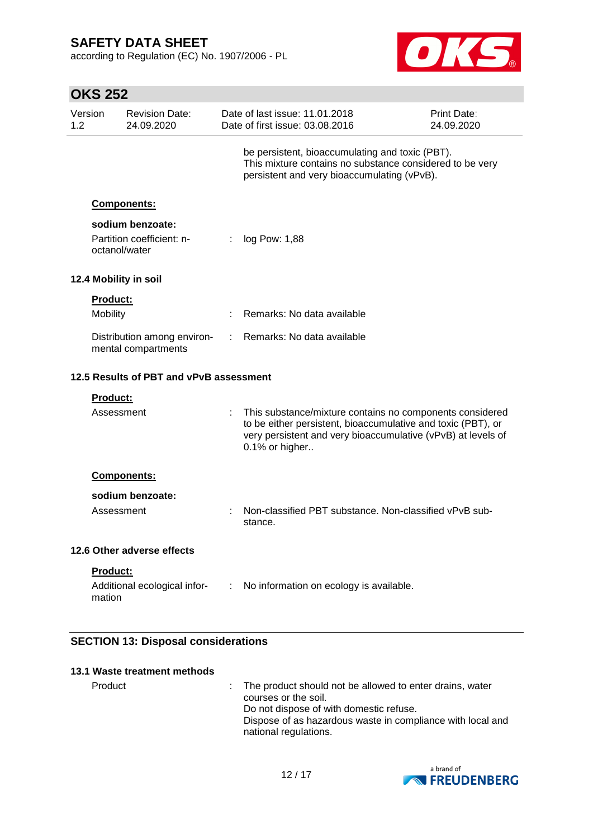according to Regulation (EC) No. 1907/2006 - PL



|                | <b>OKS 252</b>              |                                                    |   |                                                                                                                                                                                                            |                           |
|----------------|-----------------------------|----------------------------------------------------|---|------------------------------------------------------------------------------------------------------------------------------------------------------------------------------------------------------------|---------------------------|
| Version<br>1.2 |                             | <b>Revision Date:</b><br>24.09.2020                |   | Date of last issue: 11.01.2018<br>Date of first issue: 03.08.2016                                                                                                                                          | Print Date:<br>24.09.2020 |
|                |                             |                                                    |   | be persistent, bioaccumulating and toxic (PBT).<br>This mixture contains no substance considered to be very<br>persistent and very bioaccumulating (vPvB).                                                 |                           |
|                |                             | Components:                                        |   |                                                                                                                                                                                                            |                           |
|                | octanol/water               | sodium benzoate:<br>Partition coefficient: n-      | ÷ | log Pow: 1,88                                                                                                                                                                                              |                           |
|                |                             | 12.4 Mobility in soil                              |   |                                                                                                                                                                                                            |                           |
|                | <b>Product:</b><br>Mobility |                                                    |   | Remarks: No data available                                                                                                                                                                                 |                           |
|                |                             | Distribution among environ-<br>mental compartments |   | Remarks: No data available                                                                                                                                                                                 |                           |
|                |                             | 12.5 Results of PBT and vPvB assessment            |   |                                                                                                                                                                                                            |                           |
|                | <b>Product:</b>             |                                                    |   |                                                                                                                                                                                                            |                           |
|                | Assessment                  |                                                    |   | This substance/mixture contains no components considered<br>to be either persistent, bioaccumulative and toxic (PBT), or<br>very persistent and very bioaccumulative (vPvB) at levels of<br>0.1% or higher |                           |
|                |                             | Components:                                        |   |                                                                                                                                                                                                            |                           |
|                |                             | sodium benzoate:                                   |   |                                                                                                                                                                                                            |                           |
|                | Assessment                  |                                                    |   | Non-classified PBT substance. Non-classified vPvB sub-<br>stance.                                                                                                                                          |                           |
|                |                             | 12.6 Other adverse effects                         |   |                                                                                                                                                                                                            |                           |
|                | Product:<br>mation          |                                                    |   | Additional ecological infor- : No information on ecology is available.                                                                                                                                     |                           |

### **SECTION 13: Disposal considerations**

| 13.1 Waste treatment methods |                                                                                                                                                                                                                      |
|------------------------------|----------------------------------------------------------------------------------------------------------------------------------------------------------------------------------------------------------------------|
| Product                      | : The product should not be allowed to enter drains, water<br>courses or the soil.<br>Do not dispose of with domestic refuse.<br>Dispose of as hazardous waste in compliance with local and<br>national regulations. |

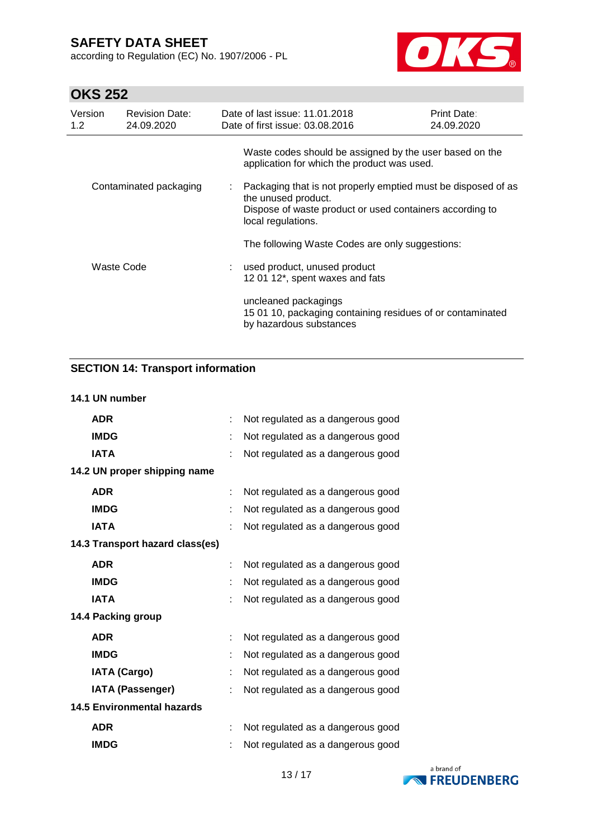according to Regulation (EC) No. 1907/2006 - PL



# **OKS 252**

| Version<br>1.2 | <b>Revision Date:</b><br>24.09.2020 | Date of last issue: 11.01.2018<br>Date of first issue: 03.08.2016                                                                                                      | Print Date:<br>24.09.2020 |
|----------------|-------------------------------------|------------------------------------------------------------------------------------------------------------------------------------------------------------------------|---------------------------|
|                |                                     | Waste codes should be assigned by the user based on the<br>application for which the product was used.                                                                 |                           |
|                | Contaminated packaging              | Packaging that is not properly emptied must be disposed of as<br>the unused product.<br>Dispose of waste product or used containers according to<br>local regulations. |                           |
|                |                                     | The following Waste Codes are only suggestions:                                                                                                                        |                           |
|                | Waste Code                          | : used product, unused product<br>12 01 12*, spent waxes and fats                                                                                                      |                           |
|                |                                     | uncleaned packagings<br>15 01 10, packaging containing residues of or contaminated<br>by hazardous substances                                                          |                           |

## **SECTION 14: Transport information**

### **14.1 UN number**

| <b>ADR</b>                        | ÷ | Not regulated as a dangerous good |
|-----------------------------------|---|-----------------------------------|
| <b>IMDG</b>                       | ÷ | Not regulated as a dangerous good |
| <b>IATA</b>                       |   | Not regulated as a dangerous good |
| 14.2 UN proper shipping name      |   |                                   |
| <b>ADR</b>                        | ÷ | Not regulated as a dangerous good |
| <b>IMDG</b>                       | ÷ | Not regulated as a dangerous good |
| <b>IATA</b>                       |   | Not regulated as a dangerous good |
| 14.3 Transport hazard class(es)   |   |                                   |
| <b>ADR</b>                        | ÷ | Not regulated as a dangerous good |
| <b>IMDG</b>                       | ÷ | Not regulated as a dangerous good |
| <b>IATA</b>                       | ÷ | Not regulated as a dangerous good |
| 14.4 Packing group                |   |                                   |
| <b>ADR</b>                        | t | Not regulated as a dangerous good |
| <b>IMDG</b>                       | ÷ | Not regulated as a dangerous good |
| <b>IATA (Cargo)</b>               | ÷ | Not regulated as a dangerous good |
| <b>IATA (Passenger)</b>           |   | Not regulated as a dangerous good |
| <b>14.5 Environmental hazards</b> |   |                                   |
| <b>ADR</b>                        | ÷ | Not regulated as a dangerous good |
| <b>IMDG</b>                       |   | Not regulated as a dangerous good |

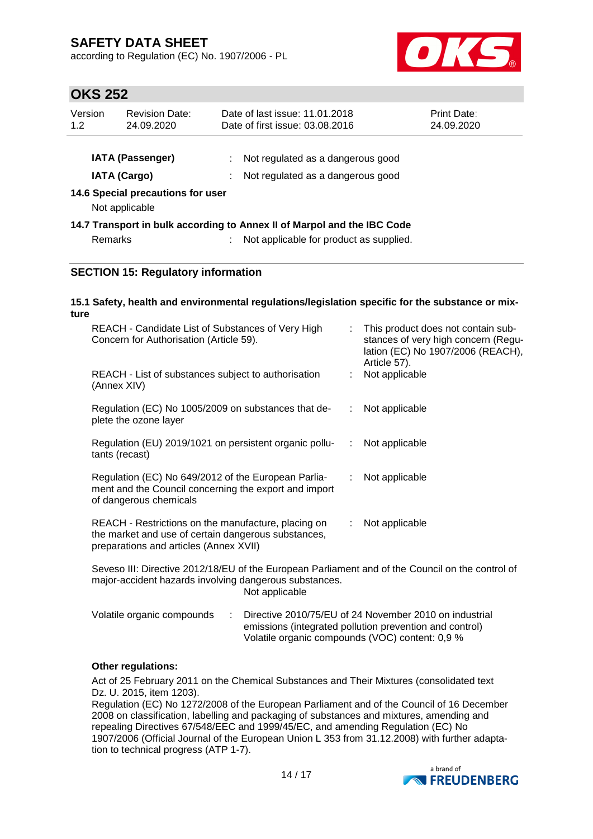according to Regulation (EC) No. 1907/2006 - PL



## **OKS 252**

| Version<br>1.2 | <b>Revision Date:</b><br>24.09.2020                                        | Date of last issue: 11.01.2018<br>Date of first issue: 03.08.2016       | <b>Print Date:</b><br>24.09.2020 |
|----------------|----------------------------------------------------------------------------|-------------------------------------------------------------------------|----------------------------------|
|                | <b>IATA (Passenger)</b>                                                    | Not regulated as a dangerous good                                       |                                  |
|                | <b>IATA (Cargo)</b><br>14.6 Special precautions for user<br>Not applicable | : Not regulated as a dangerous good                                     |                                  |
|                |                                                                            | 14.7 Transport in bulk according to Annex II of Marpol and the IBC Code |                                  |
| Remarks        |                                                                            | : Not applicable for product as supplied.                               |                                  |
|                | CECTION 15, Begulatory information                                         |                                                                         |                                  |

### **SECTION 15: Regulatory information**

#### **15.1 Safety, health and environmental regulations/legislation specific for the substance or mixture**

| REACH - Candidate List of Substances of Very High<br>Concern for Authorisation (Article 59).                                                         |                               | : This product does not contain sub-<br>stances of very high concern (Regu-<br>lation (EC) No 1907/2006 (REACH),<br>Article 57). |
|------------------------------------------------------------------------------------------------------------------------------------------------------|-------------------------------|----------------------------------------------------------------------------------------------------------------------------------|
| REACH - List of substances subject to authorisation<br>(Annex XIV)                                                                                   |                               | Not applicable                                                                                                                   |
| Regulation (EC) No 1005/2009 on substances that de-<br>plete the ozone layer                                                                         | ÷.                            | Not applicable                                                                                                                   |
| Regulation (EU) 2019/1021 on persistent organic pollu-<br>tants (recast)                                                                             |                               | : Not applicable                                                                                                                 |
| Regulation (EC) No 649/2012 of the European Parlia-<br>ment and the Council concerning the export and import<br>of dangerous chemicals               | $\mathcal{I}^{\mathcal{I}}$ . | Not applicable                                                                                                                   |
| REACH - Restrictions on the manufacture, placing on<br>the market and use of certain dangerous substances,<br>preparations and articles (Annex XVII) | ÷.                            | Not applicable                                                                                                                   |
| Seveso III: Directive 2012/18/EU of the European Parliament and of the Council on the control of                                                     |                               |                                                                                                                                  |

major-accident hazards involving dangerous substances. Not applicable

| Volatile organic compounds | Directive 2010/75/EU of 24 November 2010 on industrial  |
|----------------------------|---------------------------------------------------------|
|                            | emissions (integrated pollution prevention and control) |
|                            | Volatile organic compounds (VOC) content: 0.9 %         |

### **Other regulations:**

Act of 25 February 2011 on the Chemical Substances and Their Mixtures (consolidated text Dz. U. 2015, item 1203).

Regulation (EC) No 1272/2008 of the European Parliament and of the Council of 16 December 2008 on classification, labelling and packaging of substances and mixtures, amending and repealing Directives 67/548/EEC and 1999/45/EC, and amending Regulation (EC) No 1907/2006 (Official Journal of the European Union L 353 from 31.12.2008) with further adaptation to technical progress (ATP 1-7).

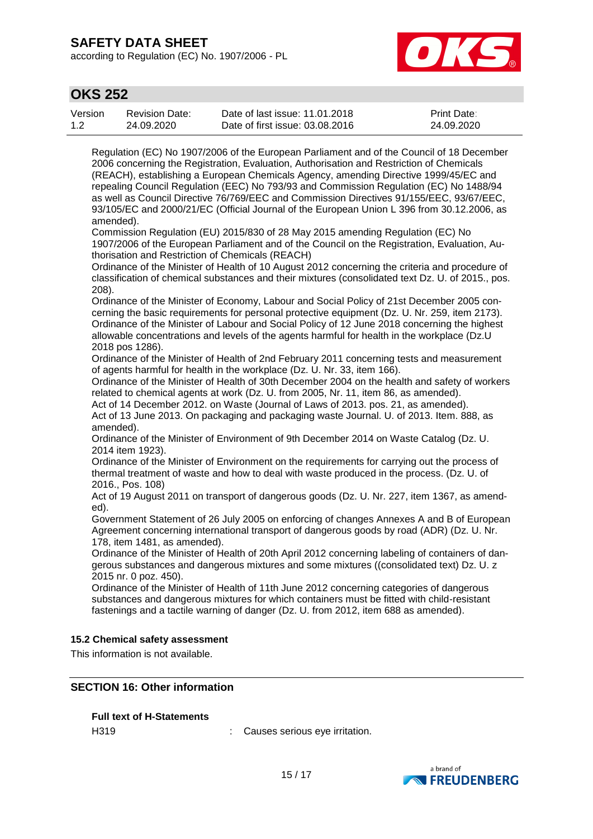according to Regulation (EC) No. 1907/2006 - PL



## **OKS 252**

| Version | <b>Revision Date:</b> | Date of last issue: 11.01.2018  | <b>Print Date:</b> |
|---------|-----------------------|---------------------------------|--------------------|
| 1.2     | 24.09.2020            | Date of first issue: 03.08.2016 | 24.09.2020         |

Regulation (EC) No 1907/2006 of the European Parliament and of the Council of 18 December 2006 concerning the Registration, Evaluation, Authorisation and Restriction of Chemicals (REACH), establishing a European Chemicals Agency, amending Directive 1999/45/EC and repealing Council Regulation (EEC) No 793/93 and Commission Regulation (EC) No 1488/94 as well as Council Directive 76/769/EEC and Commission Directives 91/155/EEC, 93/67/EEC, 93/105/EC and 2000/21/EC (Official Journal of the European Union L 396 from 30.12.2006, as amended).

Commission Regulation (EU) 2015/830 of 28 May 2015 amending Regulation (EC) No 1907/2006 of the European Parliament and of the Council on the Registration, Evaluation, Authorisation and Restriction of Chemicals (REACH)

Ordinance of the Minister of Health of 10 August 2012 concerning the criteria and procedure of classification of chemical substances and their mixtures (consolidated text Dz. U. of 2015., pos. 208).

Ordinance of the Minister of Economy, Labour and Social Policy of 21st December 2005 concerning the basic requirements for personal protective equipment (Dz. U. Nr. 259, item 2173). Ordinance of the Minister of Labour and Social Policy of 12 June 2018 concerning the highest allowable concentrations and levels of the agents harmful for health in the workplace (Dz.U 2018 pos 1286).

Ordinance of the Minister of Health of 2nd February 2011 concerning tests and measurement of agents harmful for health in the workplace (Dz. U. Nr. 33, item 166).

Ordinance of the Minister of Health of 30th December 2004 on the health and safety of workers related to chemical agents at work (Dz. U. from 2005, Nr. 11, item 86, as amended).

Act of 14 December 2012. on Waste (Journal of Laws of 2013. pos. 21, as amended).

Act of 13 June 2013. On packaging and packaging waste Journal. U. of 2013. Item. 888, as amended).

Ordinance of the Minister of Environment of 9th December 2014 on Waste Catalog (Dz. U. 2014 item 1923).

Ordinance of the Minister of Environment on the requirements for carrying out the process of thermal treatment of waste and how to deal with waste produced in the process. (Dz. U. of 2016., Pos. 108)

Act of 19 August 2011 on transport of dangerous goods (Dz. U. Nr. 227, item 1367, as amended).

Government Statement of 26 July 2005 on enforcing of changes Annexes A and B of European Agreement concerning international transport of dangerous goods by road (ADR) (Dz. U. Nr. 178, item 1481, as amended).

Ordinance of the Minister of Health of 20th April 2012 concerning labeling of containers of dangerous substances and dangerous mixtures and some mixtures ((consolidated text) Dz. U. z 2015 nr. 0 poz. 450).

Ordinance of the Minister of Health of 11th June 2012 concerning categories of dangerous substances and dangerous mixtures for which containers must be fitted with child-resistant fastenings and a tactile warning of danger (Dz. U. from 2012, item 688 as amended).

### **15.2 Chemical safety assessment**

This information is not available.

### **SECTION 16: Other information**

### **Full text of H-Statements**

H319 : Causes serious eye irritation.

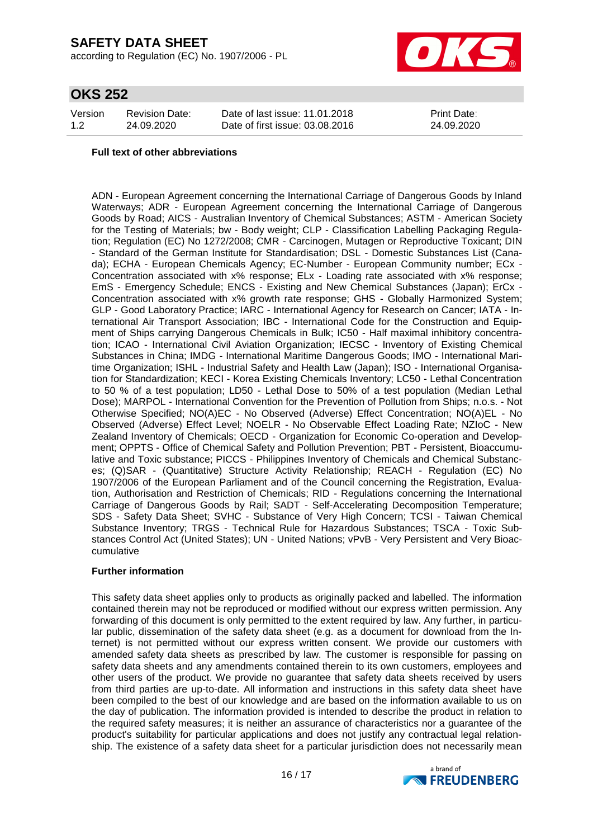according to Regulation (EC) No. 1907/2006 - PL



## **OKS 252**

| Version | <b>Revision Date:</b> | Date of last issue: 11.01.2018  | <b>Print Date:</b> |
|---------|-----------------------|---------------------------------|--------------------|
| 1.2     | 24.09.2020            | Date of first issue: 03.08.2016 | 24.09.2020         |

#### **Full text of other abbreviations**

ADN - European Agreement concerning the International Carriage of Dangerous Goods by Inland Waterways; ADR - European Agreement concerning the International Carriage of Dangerous Goods by Road; AICS - Australian Inventory of Chemical Substances; ASTM - American Society for the Testing of Materials; bw - Body weight; CLP - Classification Labelling Packaging Regulation; Regulation (EC) No 1272/2008; CMR - Carcinogen, Mutagen or Reproductive Toxicant; DIN - Standard of the German Institute for Standardisation; DSL - Domestic Substances List (Canada); ECHA - European Chemicals Agency; EC-Number - European Community number; ECx - Concentration associated with x% response; ELx - Loading rate associated with x% response; EmS - Emergency Schedule; ENCS - Existing and New Chemical Substances (Japan); ErCx - Concentration associated with x% growth rate response; GHS - Globally Harmonized System; GLP - Good Laboratory Practice; IARC - International Agency for Research on Cancer; IATA - International Air Transport Association; IBC - International Code for the Construction and Equipment of Ships carrying Dangerous Chemicals in Bulk; IC50 - Half maximal inhibitory concentration; ICAO - International Civil Aviation Organization; IECSC - Inventory of Existing Chemical Substances in China; IMDG - International Maritime Dangerous Goods; IMO - International Maritime Organization; ISHL - Industrial Safety and Health Law (Japan); ISO - International Organisation for Standardization; KECI - Korea Existing Chemicals Inventory; LC50 - Lethal Concentration to 50 % of a test population; LD50 - Lethal Dose to 50% of a test population (Median Lethal Dose); MARPOL - International Convention for the Prevention of Pollution from Ships; n.o.s. - Not Otherwise Specified; NO(A)EC - No Observed (Adverse) Effect Concentration; NO(A)EL - No Observed (Adverse) Effect Level; NOELR - No Observable Effect Loading Rate; NZIoC - New Zealand Inventory of Chemicals; OECD - Organization for Economic Co-operation and Development; OPPTS - Office of Chemical Safety and Pollution Prevention; PBT - Persistent, Bioaccumulative and Toxic substance; PICCS - Philippines Inventory of Chemicals and Chemical Substances; (Q)SAR - (Quantitative) Structure Activity Relationship; REACH - Regulation (EC) No 1907/2006 of the European Parliament and of the Council concerning the Registration, Evaluation, Authorisation and Restriction of Chemicals; RID - Regulations concerning the International Carriage of Dangerous Goods by Rail; SADT - Self-Accelerating Decomposition Temperature; SDS - Safety Data Sheet; SVHC - Substance of Very High Concern; TCSI - Taiwan Chemical Substance Inventory; TRGS - Technical Rule for Hazardous Substances; TSCA - Toxic Substances Control Act (United States); UN - United Nations; vPvB - Very Persistent and Very Bioaccumulative

### **Further information**

This safety data sheet applies only to products as originally packed and labelled. The information contained therein may not be reproduced or modified without our express written permission. Any forwarding of this document is only permitted to the extent required by law. Any further, in particular public, dissemination of the safety data sheet (e.g. as a document for download from the Internet) is not permitted without our express written consent. We provide our customers with amended safety data sheets as prescribed by law. The customer is responsible for passing on safety data sheets and any amendments contained therein to its own customers, employees and other users of the product. We provide no guarantee that safety data sheets received by users from third parties are up-to-date. All information and instructions in this safety data sheet have been compiled to the best of our knowledge and are based on the information available to us on the day of publication. The information provided is intended to describe the product in relation to the required safety measures; it is neither an assurance of characteristics nor a guarantee of the product's suitability for particular applications and does not justify any contractual legal relationship. The existence of a safety data sheet for a particular jurisdiction does not necessarily mean